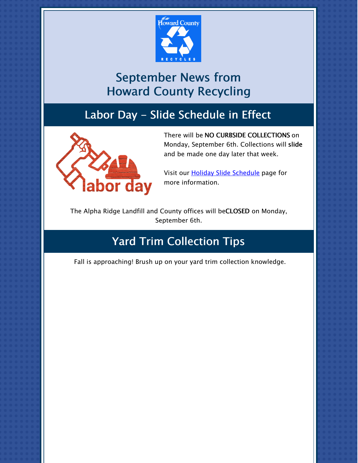

# September News from Howard County Recycling

### Labor Day - Slide Schedule in Effect



There will be NO CURBSIDE COLLECTIONS on Monday, September 6th. Collections will slide and be made one day later that week.

Visit our **Holiday Slide [Schedule](https://www.howardcountymd.gov/holidayschedule)** page for more information.

The Alpha Ridge Landfill and County offices will beCLOSED on Monday, September 6th.

# Yard Trim Collection Tips

Fall is approaching! Brush up on your yard trim collection knowledge.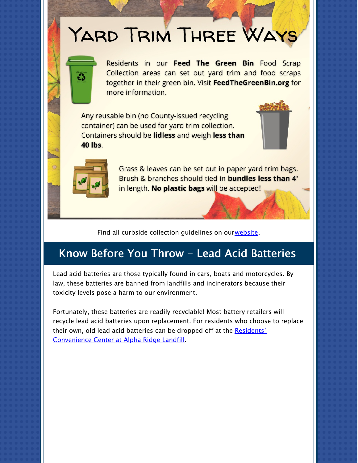# YARD TRIM THREE WAYS



Residents in our Feed The Green Bin Food Scrap Collection areas can set out yard trim and food scraps together in their green bin. Visit FeedTheGreenBin.org for more information.

Any reusable bin (no County-issued recycling container) can be used for yard trim collection. Containers should be lidless and weigh less than **40 lbs.** 





Grass & leaves can be set out in paper yard trim bags. Brush & branches should tied in bundles less than 4' in length. No plastic bags will be accepted!

Find all curbside collection guidelines on our[website](https://www.howardcountymd.gov/curbsidecollections).

### Know Before You Throw - Lead Acid Batteries

Lead acid batteries are those typically found in cars, boats and motorcycles. By law, these batteries are banned from landfills and incinerators because their toxicity levels pose a harm to our environment.

Fortunately, these batteries are readily recyclable! Most battery retailers will recycle lead acid batteries upon replacement. For residents who choose to replace their own, old lead acid batteries can be dropped off at the **Residents'** [Convenience](https://www.howardcountymd.gov/public-works/residents-convenience-center) Center at Alpha Ridge Landfill.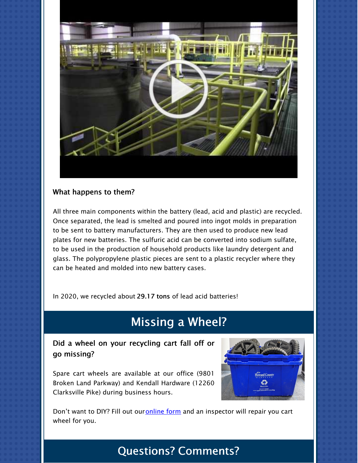

#### What happens to them?

All three main components within the battery (lead, acid and plastic) are recycled. Once separated, the lead is smelted and poured into ingot molds in preparation to be sent to battery manufacturers. They are then used to produce new lead plates for new batteries. The sulfuric acid can be converted into sodium sulfate, to be used in the production of household products like laundry detergent and glass. The polypropylene plastic pieces are sent to a plastic recycler where they can be heated and molded into new battery cases.

In 2020, we recycled about 29.17 tons of lead acid batteries!

### Missing a Wheel?

Did a wheel on your recycling cart fall off or go missing?

Spare cart wheels are available at our office (9801 Broken Land Parkway) and Kendall Hardware (12260 Clarksville Pike) during business hours.



Don't want to DIY? Fill out our [online](https://form.jotform.com/202014225838145) form and an inspector will repair you cart wheel for you.

# Questions? Comments?